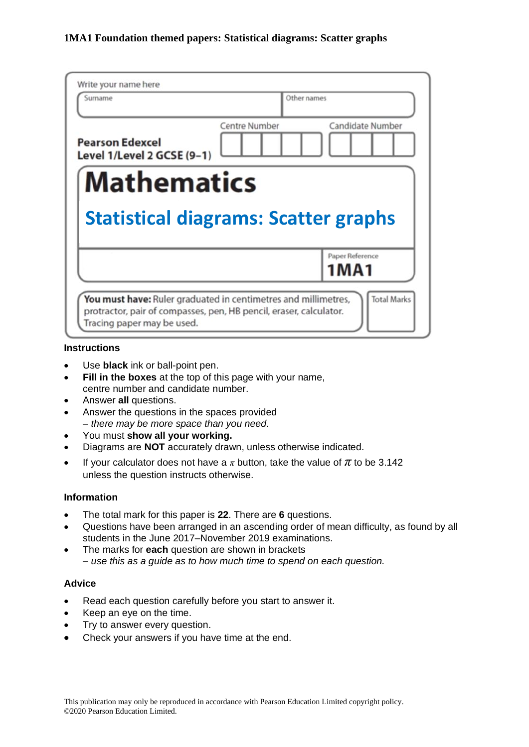| Write your name here<br>Surname                      |                      | Other names                    |
|------------------------------------------------------|----------------------|--------------------------------|
| <b>Pearson Edexcel</b><br>Level 1/Level 2 GCSE (9-1) | <b>Centre Number</b> | Candidate Number               |
| <b>Mathematics</b>                                   |                      |                                |
|                                                      |                      |                                |
| <b>Statistical diagrams: Scatter graphs</b>          |                      |                                |
|                                                      |                      |                                |
|                                                      |                      | Paper Reference<br><b>1MA1</b> |

#### **Instructions**

- Use **black** ink or ball-point pen.
- **Fill in the boxes** at the top of this page with your name, centre number and candidate number.
- Answer **all** questions.
- Answer the questions in the spaces provided *– there may be more space than you need.*
- You must **show all your working.**
- Diagrams are **NOT** accurately drawn, unless otherwise indicated.
- If your calculator does not have a  $\pi$  button, take the value of  $\pi$  to be 3.142 unless the question instructs otherwise.

#### **Information**

- The total mark for this paper is **22**. There are **6** questions.
- Questions have been arranged in an ascending order of mean difficulty, as found by all students in the June 2017–November 2019 examinations.
- The marks for **each** question are shown in brackets *– use this as a guide as to how much time to spend on each question.*

### **Advice**

- Read each question carefully before you start to answer it.
- Keep an eye on the time.
- Try to answer every question.
- Check your answers if you have time at the end.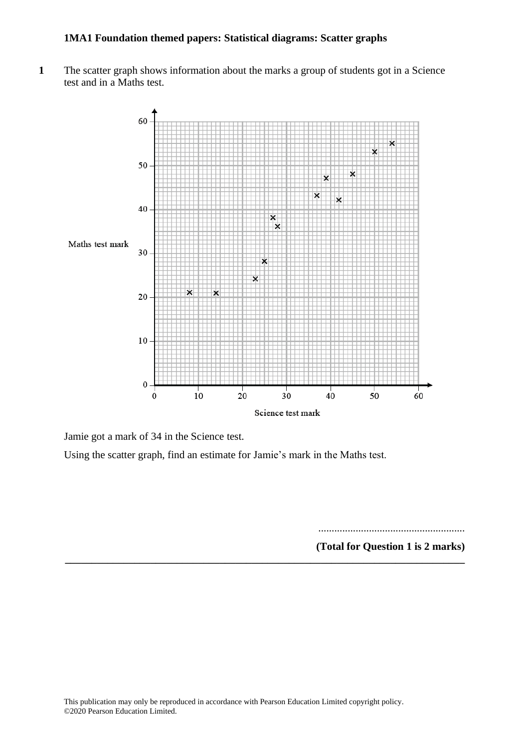**1** The scatter graph shows information about the marks a group of students got in a Science test and in a Maths test.



Jamie got a mark of 34 in the Science test.

Using the scatter graph, find an estimate for Jamie's mark in the Maths test.

**\_\_\_\_\_\_\_\_\_\_\_\_\_\_\_\_\_\_\_\_\_\_\_\_\_\_\_\_\_\_\_\_\_\_\_\_\_\_\_\_\_\_\_\_\_\_\_\_\_\_\_\_\_\_\_\_\_\_\_\_\_\_\_\_\_\_\_\_\_\_\_\_\_\_\_**

....................................................... **(Total for Question 1 is 2 marks)**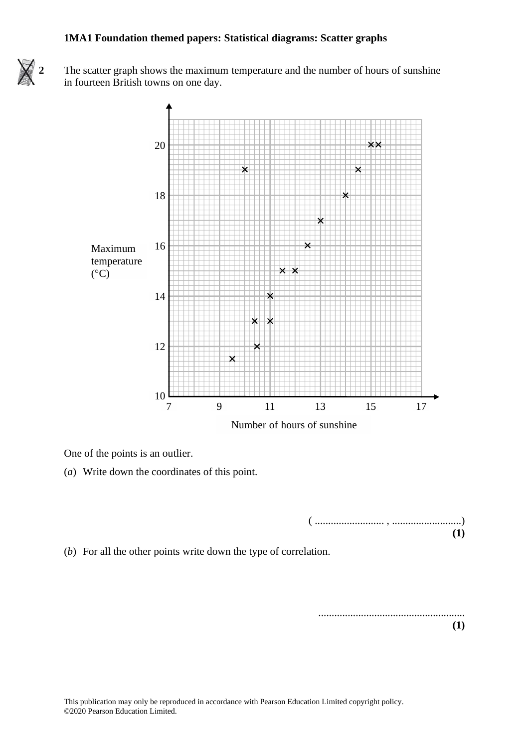

**2** The scatter graph shows the maximum temperature and the number of hours of sunshine **21** The scatter graph shows the maximum temperature and the number of hours of sunshine in fourteen British towns on one day. in fourteen British towns on one day.



One of the points is an outlier. One of the points is an outlier.

(*a*) Write down the coordinates of this point. (a) Write down the coordinates of this point.

( .......................... , ..........................) **(1) (1)**

(*b*) For all the other points write down the type of correlation. (b) For all the other points write down the type of correlation.

....................................................... **(1)**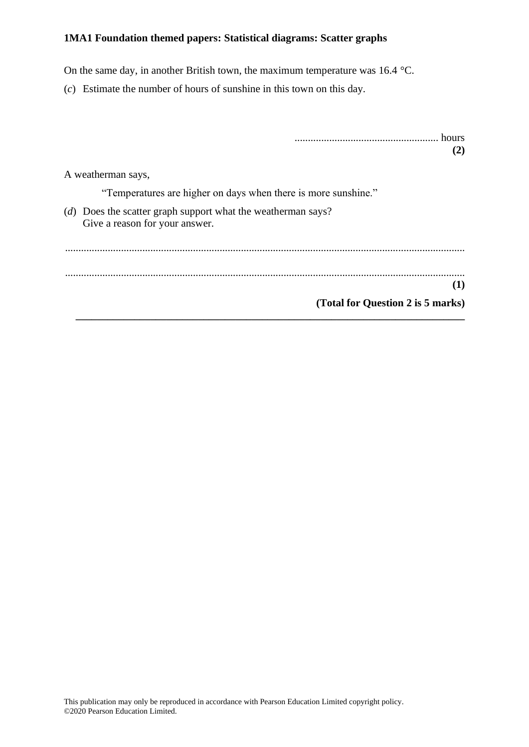On the same day, in another British town, the maximum temperature was 16.4 °C.

(*c*) Estimate the number of hours of sunshine in this town on this day.

| hours<br>(2)                                                                                   |
|------------------------------------------------------------------------------------------------|
| A weatherman says,                                                                             |
| "Temperatures are higher on days when there is more sunshine."                                 |
| (d) Does the scatter graph support what the weatherman says?<br>Give a reason for your answer. |
|                                                                                                |
| (1)                                                                                            |
| (Total for Question 2 is 5 marks)                                                              |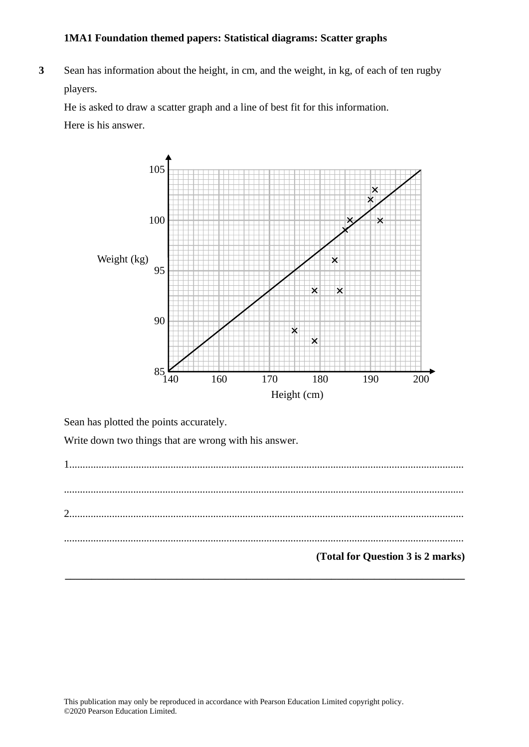**3** Sean has information about the height, in cm, and the weight, in kg, of each of ten rugby players. **21** Search about the height, in the height, in the weight, in the weight, in the weight, in the weight, in the weight, in the weight, in the weight, in the weight, in the weight, in the weight, in the weight, in the weigh

He is asked to draw a scatter graph and a line of best fit for this information. He is asked to draw <sup>a</sup> scatter graph and <sup>a</sup> line of best fit for this information.

Here is his answer.



Sean has plotted the points accurately. Sean has plotted the points accurately.

Write down two things that are wrong with his answer. Write down two things that are wrong with his answer.

1.................................................................................................................................................... 1 .............................................................................................................................................................................................................................................  $\begin{minipage}{0.5\textwidth} \begin{tabular}{|l|l|l|} \hline \multicolumn{1}{|l|l|l|} \hline \multicolumn{1}{|l|l|} \hline \multicolumn{1}{|l|l|} \hline \multicolumn{1}{|l|} \hline \multicolumn{1}{|l|} \hline \multicolumn{1}{|l|} \hline \multicolumn{1}{|l|} \hline \multicolumn{1}{|l|} \hline \multicolumn{1}{|l|} \hline \multicolumn{1}{|l|} \hline \multicolumn{1}{|l|} \hline \multicolumn{1}{|l|} \hline \multicolumn{1}{|l|} \h$ 2.................................................................................................................................................... 2 ............................................................................................................................................................................................................................................. ...................................................................................................................................................... .................................................................................................................................................................................................................................................. **(Total for Question 3 is 2 marks) (Total for Question 21 is 2 marks)\_\_\_\_\_\_\_\_\_\_\_\_\_\_\_\_\_\_\_\_\_\_\_\_\_\_\_\_\_\_\_\_\_\_\_\_\_\_\_\_\_\_\_\_\_\_\_\_\_\_\_\_\_\_\_\_\_\_\_\_\_\_\_\_\_\_\_\_\_\_\_\_\_\_\_**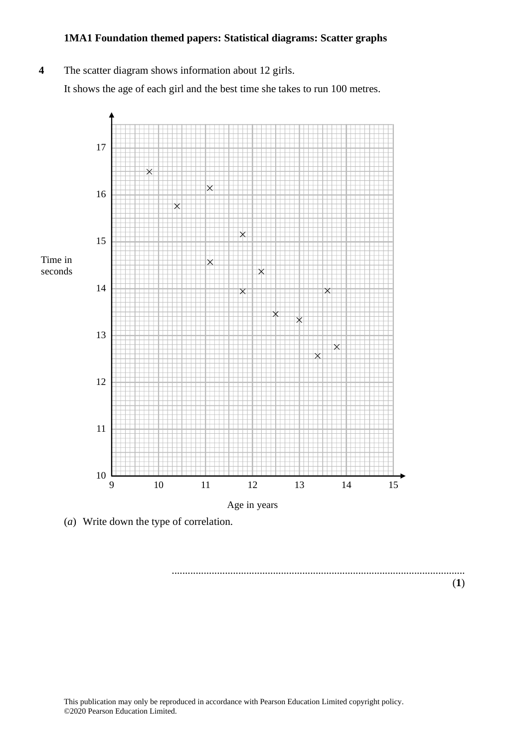#### **4** The scatter diagram shows information about 12 girls.

It shows the age of each girl and the best time she takes to run 100 metres. It shows the age of each girl and the best time she takes to run 100 metres.



(*a*) Write down the type of correlation.

.............................................................................................................. (**1**) ..............................................................................................................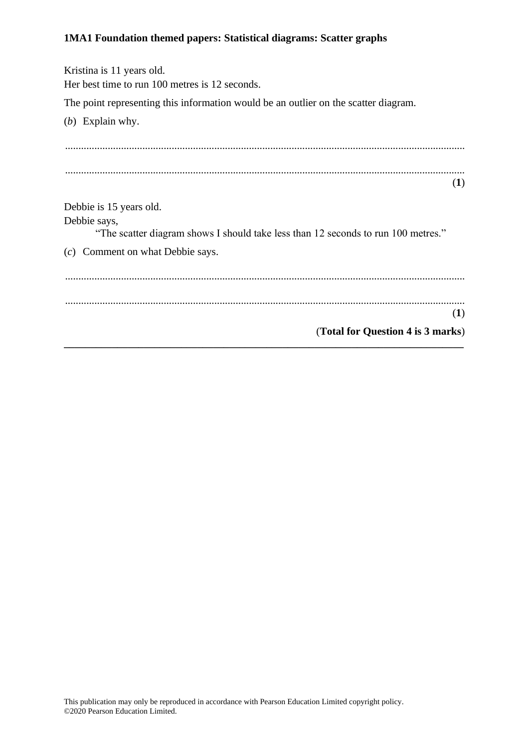| Kristina is 11 years old.                                                                         |
|---------------------------------------------------------------------------------------------------|
| Her best time to run 100 metres is 12 seconds.                                                    |
| The point representing this information would be an outlier on the scatter diagram.               |
| (b) Explain why.                                                                                  |
|                                                                                                   |
|                                                                                                   |
| (1)                                                                                               |
|                                                                                                   |
| Debbie is 15 years old.                                                                           |
| Debbie says,<br>"The scatter diagram shows I should take less than 12 seconds to run 100 metres." |
| (c) Comment on what Debbie says.                                                                  |
|                                                                                                   |
|                                                                                                   |
| (1)                                                                                               |
|                                                                                                   |
| (Total for Question 4 is 3 marks)                                                                 |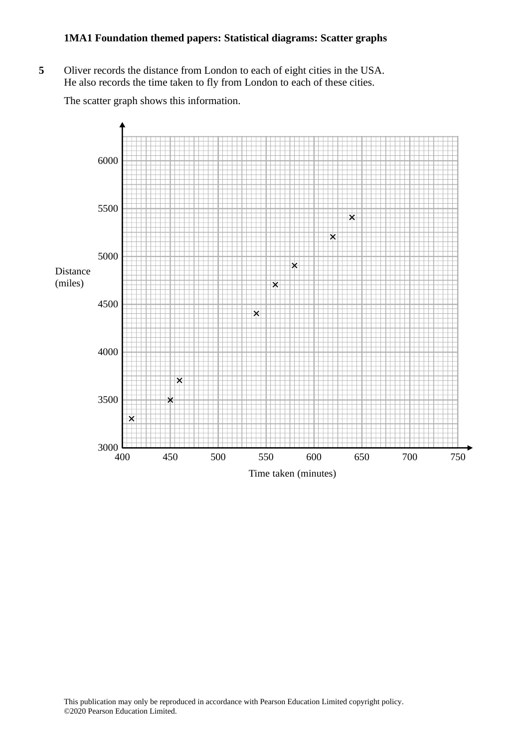**5** Oliver records the distance from London to each of eight cities in the USA. **19** Oliver records the distance from London to each of eight cities in the USA. He also records the time taken to fly from London to each of these cities. He also records the time taken to fly from London to each of these cities.

The scatter graph shows this information. The scatter graph shows this information.

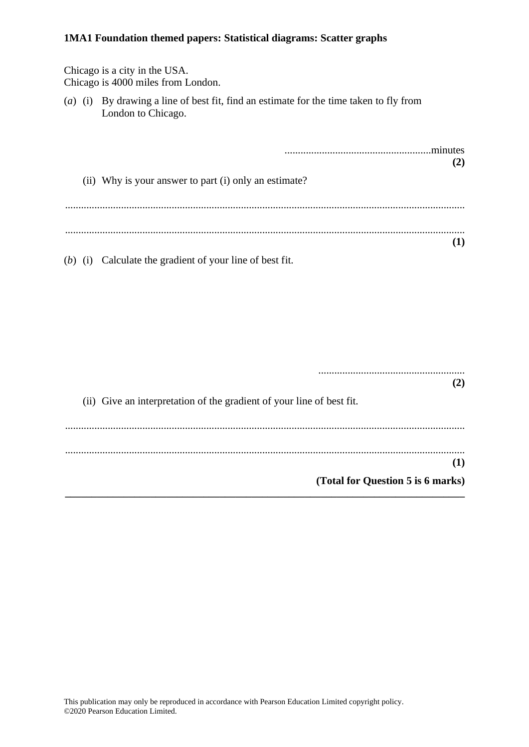|                                   |  | Chicago is a city in the USA.<br>Chicago is 4000 miles from London.                                          |     |  |
|-----------------------------------|--|--------------------------------------------------------------------------------------------------------------|-----|--|
|                                   |  | (a) (i) By drawing a line of best fit, find an estimate for the time taken to fly from<br>London to Chicago. |     |  |
|                                   |  |                                                                                                              | (2) |  |
|                                   |  | (ii) Why is your answer to part (i) only an estimate?                                                        |     |  |
|                                   |  |                                                                                                              | (1) |  |
|                                   |  | (b) (i) Calculate the gradient of your line of best fit.                                                     |     |  |
|                                   |  |                                                                                                              |     |  |
|                                   |  |                                                                                                              |     |  |
|                                   |  | (ii) Give an interpretation of the gradient of your line of best fit.                                        | (2) |  |
|                                   |  |                                                                                                              | (1) |  |
| (Total for Question 5 is 6 marks) |  |                                                                                                              |     |  |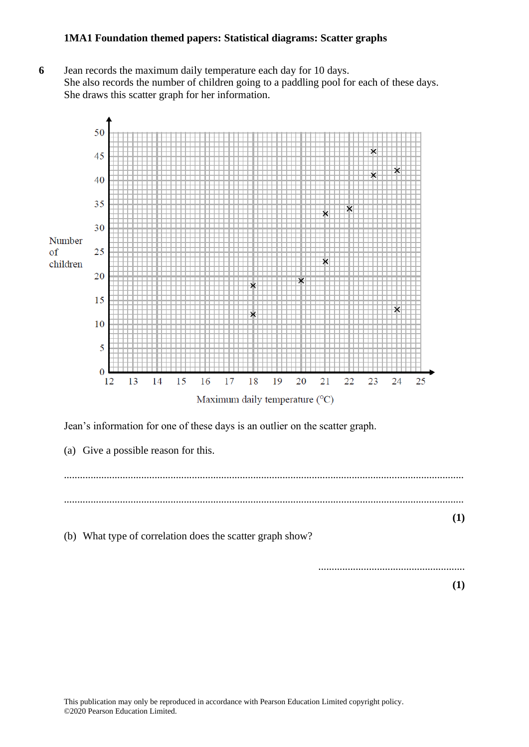**6** Jean records the maximum daily temperature each day for 10 days. She also records the number of children going to a paddling pool for each of these days. She draws this scatter graph for her information.



Jean's information for one of these days is an outlier on the scatter graph.

(a) Give a possible reason for this. ...................................................................................................................................................... ...................................................................................................................................................... **(1)** (b) What type of correlation does the scatter graph show? ....................................................... **(1)**